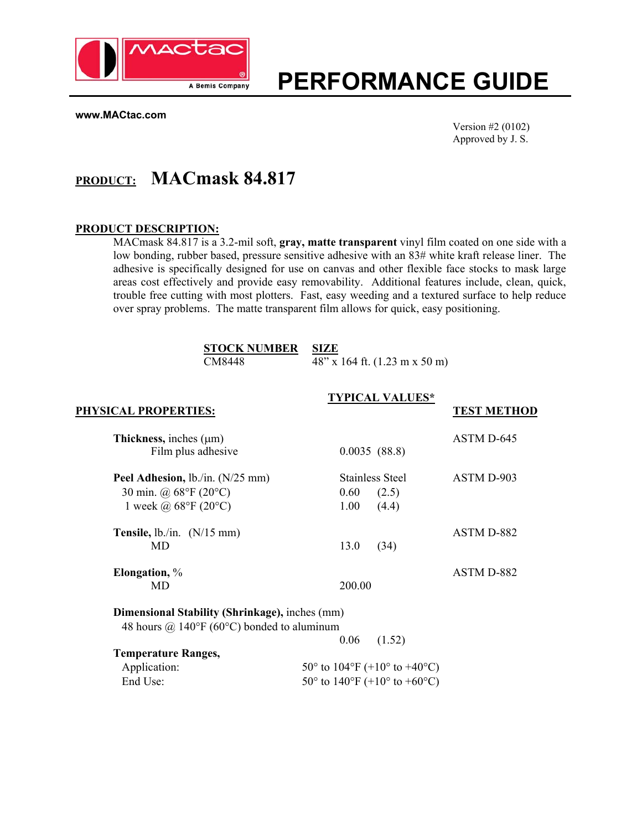

# **PERFORMANCE GUIDE**

**www.MACtac.com**

Version #2 (0102) Approved by J. S.

# **PRODUCT: MACmask 84.817**

#### **PRODUCT DESCRIPTION:**

MACmask 84.817 is a 3.2-mil soft, **gray, matte transparent** vinyl film coated on one side with a low bonding, rubber based, pressure sensitive adhesive with an 83# white kraft release liner. The adhesive is specifically designed for use on canvas and other flexible face stocks to mask large areas cost effectively and provide easy removability. Additional features include, clean, quick, trouble free cutting with most plotters. Fast, easy weeding and a textured surface to help reduce over spray problems. The matte transparent film allows for quick, easy positioning.

| <b>STOCK NUMBER SIZE</b> |                                  |
|--------------------------|----------------------------------|
| CM8448                   | $48''$ x 164 ft. (1.23 m x 50 m) |

|                                                       | <b>TYPICAL VALUES*</b>                                             |                    |
|-------------------------------------------------------|--------------------------------------------------------------------|--------------------|
| PHYSICAL PROPERTIES:                                  |                                                                    | <b>TEST METHOD</b> |
| Thickness, inches $(\mu m)$                           |                                                                    | ASTM D-645         |
| Film plus adhesive                                    | 0.0035(88.8)                                                       |                    |
| Peel Adhesion, lb./in. (N/25 mm)                      | Stainless Steel                                                    | ASTM D-903         |
| 30 min. @ $68^{\circ}F(20^{\circ}C)$                  | 0.60<br>(2.5)                                                      |                    |
| 1 week @ $68^{\circ}$ F (20 $^{\circ}$ C)             | 1.00<br>(4.4)                                                      |                    |
| Tensile, $lb$ ./in. $(N/15$ mm)                       |                                                                    | ASTM D-882         |
| MD                                                    | 13.0<br>(34)                                                       |                    |
| Elongation, %                                         |                                                                    | ASTM D-882         |
| MD.                                                   | 200.00                                                             |                    |
| <b>Dimensional Stability (Shrinkage), inches (mm)</b> |                                                                    |                    |
| 48 hours @ 140°F (60°C) bonded to aluminum            |                                                                    |                    |
|                                                       | 0.06<br>(1.52)                                                     |                    |
| <b>Temperature Ranges,</b>                            |                                                                    |                    |
| Application:                                          | 50 $\degree$ to 104 $\degree$ F (+10 $\degree$ to +40 $\degree$ C) |                    |
| End Use:                                              | 50 $\degree$ to 140 $\degree$ F (+10 $\degree$ to +60 $\degree$ C) |                    |